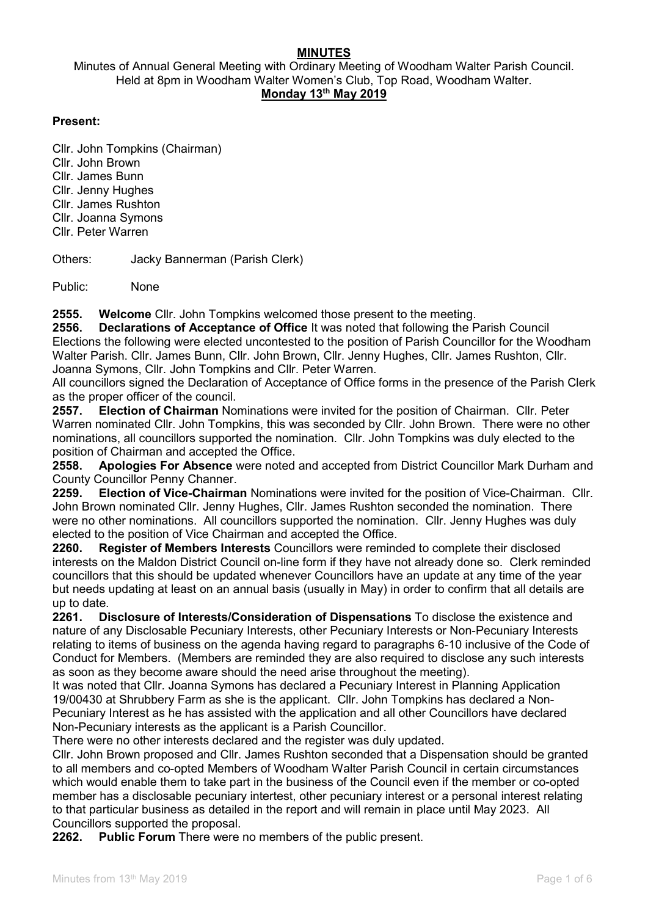### MINUTES

Minutes of Annual General Meeting with Ordinary Meeting of Woodham Walter Parish Council. Held at 8pm in Woodham Walter Women's Club, Top Road, Woodham Walter. Monday 13th May 2019

#### Present:

Cllr. John Tompkins (Chairman) Cllr. John Brown Cllr. James Bunn Cllr. Jenny Hughes Cllr. James Rushton Cllr. Joanna Symons Cllr. Peter Warren

Others: Jacky Bannerman (Parish Clerk)

Public: None

2555. Welcome Cllr. John Tompkins welcomed those present to the meeting.

2556. Declarations of Acceptance of Office It was noted that following the Parish Council Elections the following were elected uncontested to the position of Parish Councillor for the Woodham Walter Parish. Cllr. James Bunn, Cllr. John Brown, Cllr. Jenny Hughes, Cllr. James Rushton, Cllr. Joanna Symons, Cllr. John Tompkins and Cllr. Peter Warren.

All councillors signed the Declaration of Acceptance of Office forms in the presence of the Parish Clerk as the proper officer of the council.

2557. Election of Chairman Nominations were invited for the position of Chairman. Cllr. Peter Warren nominated Cllr. John Tompkins, this was seconded by Cllr. John Brown. There were no other nominations, all councillors supported the nomination. Cllr. John Tompkins was duly elected to the position of Chairman and accepted the Office.

2558. Apologies For Absence were noted and accepted from District Councillor Mark Durham and County Councillor Penny Channer.

2259. Election of Vice-Chairman Nominations were invited for the position of Vice-Chairman. Cllr. John Brown nominated Cllr. Jenny Hughes, Cllr. James Rushton seconded the nomination. There were no other nominations. All councillors supported the nomination. Cllr. Jenny Hughes was duly elected to the position of Vice Chairman and accepted the Office.

2260. Register of Members Interests Councillors were reminded to complete their disclosed interests on the Maldon District Council on-line form if they have not already done so. Clerk reminded councillors that this should be updated whenever Councillors have an update at any time of the year but needs updating at least on an annual basis (usually in May) in order to confirm that all details are up to date.

2261. Disclosure of Interests/Consideration of Dispensations To disclose the existence and nature of any Disclosable Pecuniary Interests, other Pecuniary Interests or Non-Pecuniary Interests relating to items of business on the agenda having regard to paragraphs 6-10 inclusive of the Code of Conduct for Members. (Members are reminded they are also required to disclose any such interests as soon as they become aware should the need arise throughout the meeting).

It was noted that Cllr. Joanna Symons has declared a Pecuniary Interest in Planning Application 19/00430 at Shrubbery Farm as she is the applicant. Cllr. John Tompkins has declared a Non-Pecuniary Interest as he has assisted with the application and all other Councillors have declared Non-Pecuniary interests as the applicant is a Parish Councillor.

There were no other interests declared and the register was duly updated.

Cllr. John Brown proposed and Cllr. James Rushton seconded that a Dispensation should be granted to all members and co-opted Members of Woodham Walter Parish Council in certain circumstances which would enable them to take part in the business of the Council even if the member or co-opted member has a disclosable pecuniary intertest, other pecuniary interest or a personal interest relating to that particular business as detailed in the report and will remain in place until May 2023. All Councillors supported the proposal.

2262. Public Forum There were no members of the public present.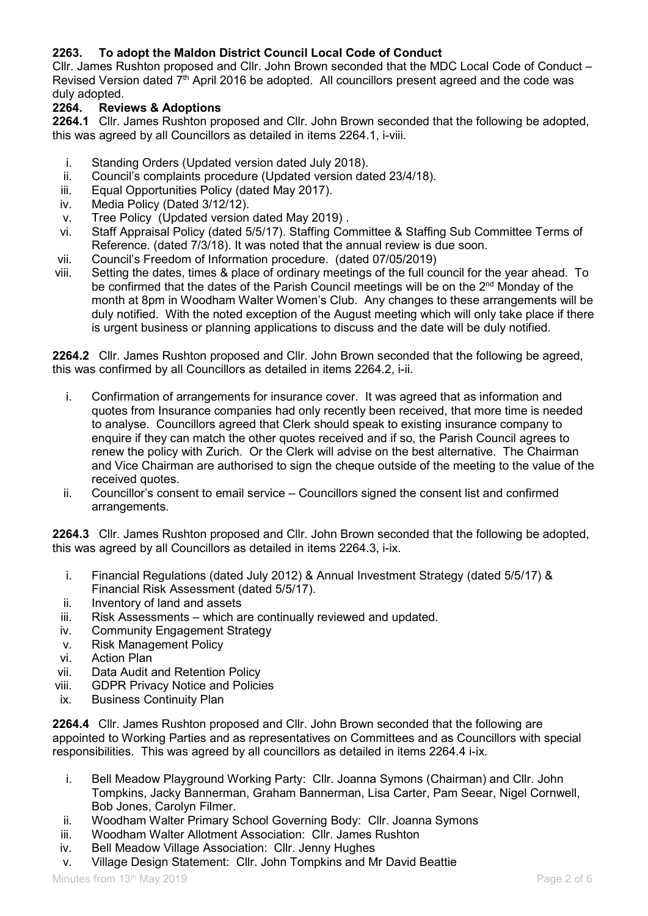# 2263. To adopt the Maldon District Council Local Code of Conduct

Cllr. James Rushton proposed and Cllr. John Brown seconded that the MDC Local Code of Conduct – Revised Version dated  $7<sup>th</sup>$  April 2016 be adopted. All councillors present agreed and the code was duly adopted.

# 2264. Reviews & Adoptions

2264.1 Cllr. James Rushton proposed and Cllr. John Brown seconded that the following be adopted, this was agreed by all Councillors as detailed in items 2264.1, i-viii.

- i. Standing Orders (Updated version dated July 2018).
- ii. Council's complaints procedure (Updated version dated 23/4/18).
- iii. Equal Opportunities Policy (dated May 2017).
- iv. Media Policy (Dated 3/12/12).
- v. Tree Policy (Updated version dated May 2019) .
- vi. Staff Appraisal Policy (dated 5/5/17). Staffing Committee & Staffing Sub Committee Terms of Reference. (dated 7/3/18). It was noted that the annual review is due soon.
- vii. Council's Freedom of Information procedure. (dated 07/05/2019)
- viii. Setting the dates, times & place of ordinary meetings of the full council for the year ahead. To be confirmed that the dates of the Parish Council meetings will be on the 2<sup>nd</sup> Monday of the month at 8pm in Woodham Walter Women's Club. Any changes to these arrangements will be duly notified. With the noted exception of the August meeting which will only take place if there is urgent business or planning applications to discuss and the date will be duly notified.

2264.2 Cllr. James Rushton proposed and Cllr. John Brown seconded that the following be agreed, this was confirmed by all Councillors as detailed in items 2264.2, i-ii.

- i. Confirmation of arrangements for insurance cover. It was agreed that as information and quotes from Insurance companies had only recently been received, that more time is needed to analyse. Councillors agreed that Clerk should speak to existing insurance company to enquire if they can match the other quotes received and if so, the Parish Council agrees to renew the policy with Zurich. Or the Clerk will advise on the best alternative. The Chairman and Vice Chairman are authorised to sign the cheque outside of the meeting to the value of the received quotes.
- ii. Councillor's consent to email service Councillors signed the consent list and confirmed arrangements.

2264.3 Cllr. James Rushton proposed and Cllr. John Brown seconded that the following be adopted, this was agreed by all Councillors as detailed in items 2264.3, i-ix.

- i. Financial Regulations (dated July 2012) & Annual Investment Strategy (dated 5/5/17) & Financial Risk Assessment (dated 5/5/17).
- ii. Inventory of land and assets
- iii. Risk Assessments which are continually reviewed and updated.
- iv. Community Engagement Strategy
- v. Risk Management Policy
- vi. Action Plan
- vii. Data Audit and Retention Policy
- viii. GDPR Privacy Notice and Policies
- ix. Business Continuity Plan

2264.4 Cllr. James Rushton proposed and Cllr. John Brown seconded that the following are appointed to Working Parties and as representatives on Committees and as Councillors with special responsibilities. This was agreed by all councillors as detailed in items 2264.4 i-ix.

- i. Bell Meadow Playground Working Party: Cllr. Joanna Symons (Chairman) and Cllr. John Tompkins, Jacky Bannerman, Graham Bannerman, Lisa Carter, Pam Seear, Nigel Cornwell, Bob Jones, Carolyn Filmer.
- ii. Woodham Walter Primary School Governing Body: Cllr. Joanna Symons
- iii. Woodham Walter Allotment Association: Cllr. James Rushton
- iv. Bell Meadow Village Association: Cllr. Jenny Hughes
- v. Village Design Statement: Cllr. John Tompkins and Mr David Beattie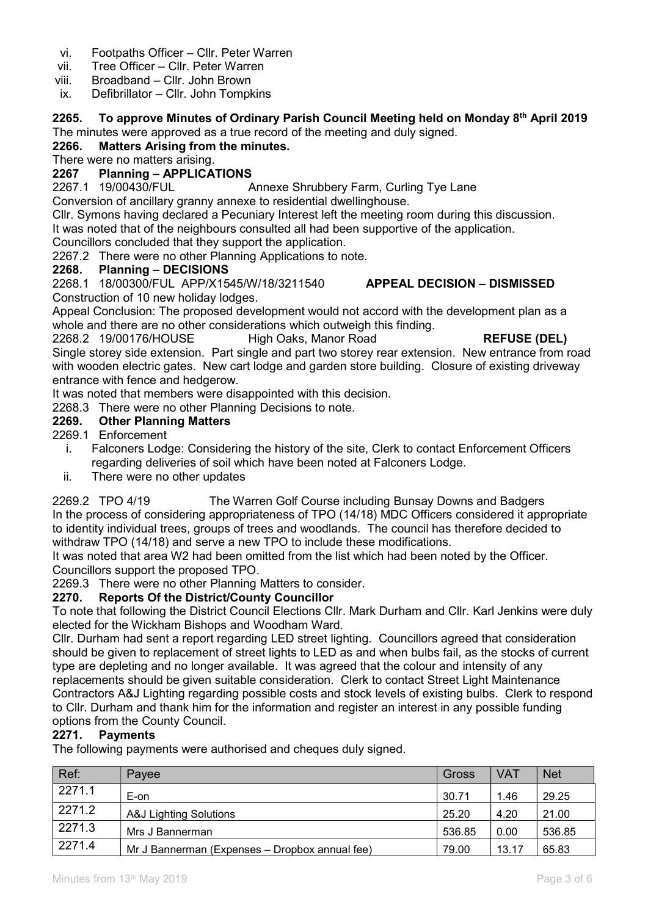- vi. Footpaths Officer Cllr. Peter Warren
- vii. Tree Officer Cllr. Peter Warren
- viii. Broadband Cllr. John Brown
- ix. Defibrillator Cllr. John Tompkins

#### 2265. To approve Minutes of Ordinary Parish Council Meeting held on Monday 8th April 2019 The minutes were approved as a true record of the meeting and duly signed.

# 2266. Matters Arising from the minutes.

There were no matters arising.

# 2267 Planning – APPLICATIONS

2267.1 19/00430/FUL Annexe Shrubbery Farm, Curling Tye Lane

Conversion of ancillary granny annexe to residential dwellinghouse.

Cllr. Symons having declared a Pecuniary Interest left the meeting room during this discussion.

It was noted that of the neighbours consulted all had been supportive of the application.

Councillors concluded that they support the application.

2267.2 There were no other Planning Applications to note.

### 2268. Planning – DECISIONS

2268.1 18/00300/FUL APP/X1545/W/18/3211540 APPEAL DECISION – DISMISSED Construction of 10 new holiday lodges.

Appeal Conclusion: The proposed development would not accord with the development plan as a whole and there are no other considerations which outweigh this finding.

2268.2 19/00176/HOUSE High Oaks, Manor Road REFUSE (DEL)

Single storey side extension. Part single and part two storey rear extension. New entrance from road with wooden electric gates. New cart lodge and garden store building. Closure of existing driveway entrance with fence and hedgerow.

It was noted that members were disappointed with this decision.

2268.3 There were no other Planning Decisions to note.

# 2269. Other Planning Matters

2269.1 Enforcement

- i. Falconers Lodge: Considering the history of the site, Clerk to contact Enforcement Officers regarding deliveries of soil which have been noted at Falconers Lodge.
- ii. There were no other updates

2269.2 TPO 4/19 The Warren Golf Course including Bunsay Downs and Badgers In the process of considering appropriateness of TPO (14/18) MDC Officers considered it appropriate to identity individual trees, groups of trees and woodlands. The council has therefore decided to withdraw TPO (14/18) and serve a new TPO to include these modifications.

It was noted that area W2 had been omitted from the list which had been noted by the Officer. Councillors support the proposed TPO.

2269.3 There were no other Planning Matters to consider.

### 2270. Reports Of the District/County Councillor

To note that following the District Council Elections Cllr. Mark Durham and Cllr. Karl Jenkins were duly elected for the Wickham Bishops and Woodham Ward.

Cllr. Durham had sent a report regarding LED street lighting. Councillors agreed that consideration should be given to replacement of street lights to LED as and when bulbs fail, as the stocks of current type are depleting and no longer available. It was agreed that the colour and intensity of any replacements should be given suitable consideration. Clerk to contact Street Light Maintenance Contractors A&J Lighting regarding possible costs and stock levels of existing bulbs. Clerk to respond to Cllr. Durham and thank him for the information and register an interest in any possible funding options from the County Council.

# 2271. Payments

The following payments were authorised and cheques duly signed.

| Ref:   | Pavee                                          | Gross  | <b>VAT</b> | <b>Net</b> |
|--------|------------------------------------------------|--------|------------|------------|
| 2271.1 | E-on                                           | 30.71  | 1.46       | 29.25      |
| 2271.2 | A&J Lighting Solutions                         | 25.20  | 4.20       | 21.00      |
| 2271.3 | Mrs J Bannerman                                | 536.85 | 0.00       | 536.85     |
| 2271.4 | Mr J Bannerman (Expenses – Dropbox annual fee) | 79.00  | 13.17      | 65.83      |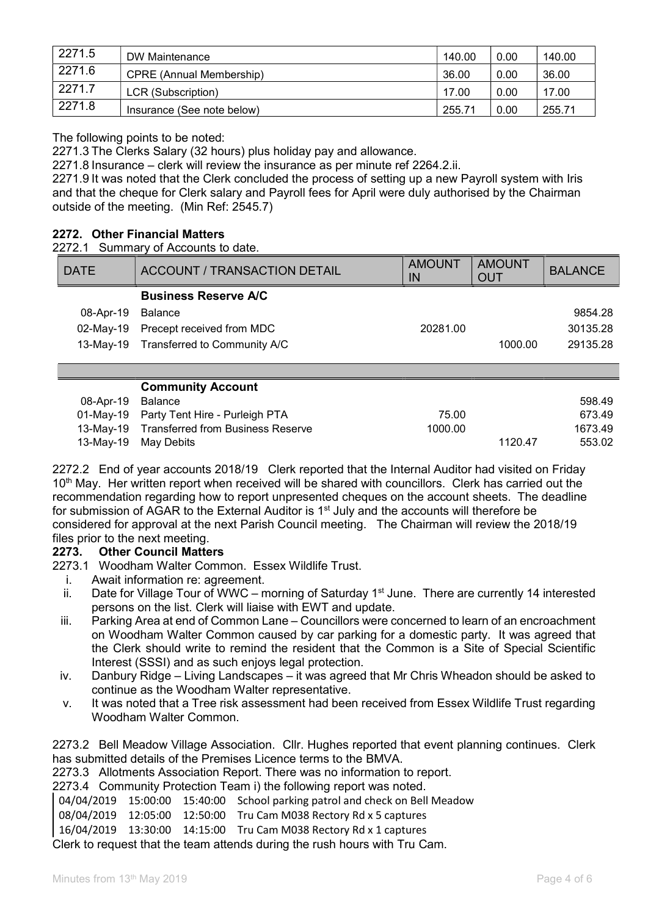| 2271.5 | DW Maintenance                  | 140.00 | 0.00 | 140.00 |
|--------|---------------------------------|--------|------|--------|
| 2271.6 | <b>CPRE (Annual Membership)</b> | 36.00  | 0.00 | 36.00  |
| 2271.7 | LCR (Subscription)              | 17.00  | 0.00 | 17.00  |
| 2271.8 | Insurance (See note below)      | 255.71 | 0.00 | 255.71 |

The following points to be noted:

2271.3 The Clerks Salary (32 hours) plus holiday pay and allowance.

2271.8 Insurance – clerk will review the insurance as per minute ref 2264.2.ii.

2271.9 It was noted that the Clerk concluded the process of setting up a new Payroll system with Iris and that the cheque for Clerk salary and Payroll fees for April were duly authorised by the Chairman outside of the meeting. (Min Ref: 2545.7)

### 2272. Other Financial Matters

2272.1 Summary of Accounts to date.

| <b>DATE</b> | <b>ACCOUNT / TRANSACTION DETAIL</b> | <b>AMOUNT</b><br>IN | <b>AMOUNT</b><br><b>OUT</b> | <b>BALANCE</b> |
|-------------|-------------------------------------|---------------------|-----------------------------|----------------|
|             | <b>Business Reserve A/C</b>         |                     |                             |                |
| 08-Apr-19   | Balance                             |                     |                             | 9854.28        |
| 02-May-19   | Precept received from MDC           | 20281.00            |                             | 30135.28       |
| 13-Mav-19   | Transferred to Community A/C        |                     | 1000.00                     | 29135.28       |
|             |                                     |                     |                             |                |

# Community Account

|                   | solutionity Account                         |         |         |         |
|-------------------|---------------------------------------------|---------|---------|---------|
| 08-Apr-19 Balance |                                             |         |         | 598.49  |
|                   | 01-May-19 Party Tent Hire - Purleigh PTA    | 75.00   |         | 673.49  |
|                   | 13-May-19 Transferred from Business Reserve | 1000.00 |         | 1673.49 |
|                   | 13-May-19 May Debits                        |         | 1120.47 | 553.02  |

2272.2 End of year accounts 2018/19 Clerk reported that the Internal Auditor had visited on Friday 10<sup>th</sup> May. Her written report when received will be shared with councillors. Clerk has carried out the recommendation regarding how to report unpresented cheques on the account sheets. The deadline for submission of AGAR to the External Auditor is 1<sup>st</sup> July and the accounts will therefore be considered for approval at the next Parish Council meeting. The Chairman will review the 2018/19 files prior to the next meeting.

### 2273. Other Council Matters

- 2273.1 Woodham Walter Common. Essex Wildlife Trust.
	- i. Await information re: agreement.
	- ii. Date for Village Tour of WWC morning of Saturday 1<sup>st</sup> June. There are currently 14 interested persons on the list. Clerk will liaise with EWT and update.
	- iii. Parking Area at end of Common Lane Councillors were concerned to learn of an encroachment on Woodham Walter Common caused by car parking for a domestic party. It was agreed that the Clerk should write to remind the resident that the Common is a Site of Special Scientific Interest (SSSI) and as such enjoys legal protection.
	- iv. Danbury Ridge Living Landscapes it was agreed that Mr Chris Wheadon should be asked to continue as the Woodham Walter representative.
	- v. It was noted that a Tree risk assessment had been received from Essex Wildlife Trust regarding Woodham Walter Common.

2273.2 Bell Meadow Village Association. Cllr. Hughes reported that event planning continues. Clerk has submitted details of the Premises Licence terms to the BMVA.

2273.3 Allotments Association Report. There was no information to report.

2273.4 Community Protection Team i) the following report was noted.

04/04/2019 15:00:00 15:40:00 School parking patrol and check on Bell Meadow

08/04/2019 12:05:00 12:50:00 Tru Cam M038 Rectory Rd x 5 captures

16/04/2019 13:30:00 14:15:00 Tru Cam M038 Rectory Rd x 1 captures

Clerk to request that the team attends during the rush hours with Tru Cam.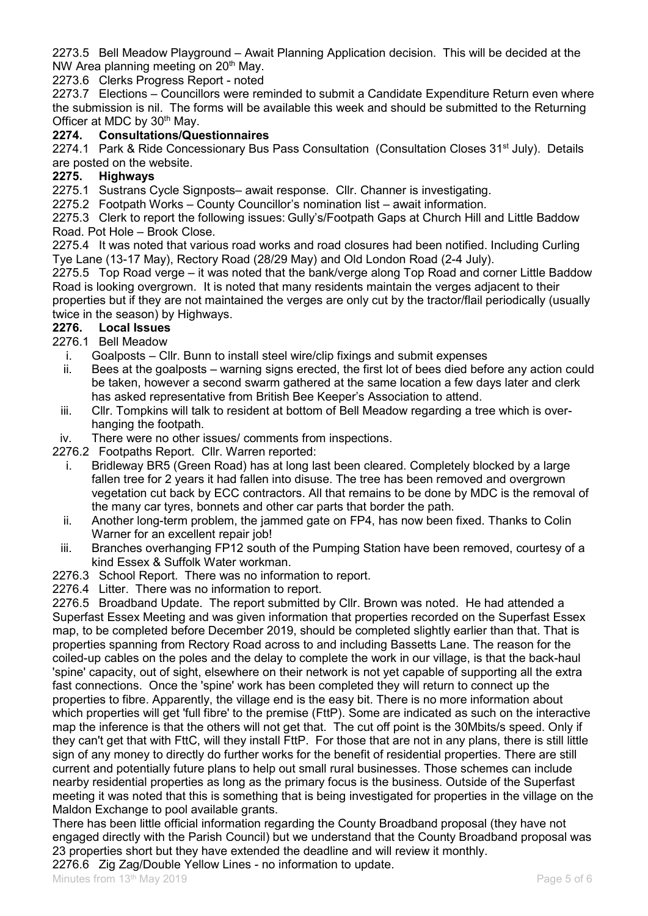2273.5 Bell Meadow Playground – Await Planning Application decision. This will be decided at the NW Area planning meeting on 20<sup>th</sup> May.

2273.6 Clerks Progress Report - noted

2273.7 Elections – Councillors were reminded to submit a Candidate Expenditure Return even where the submission is nil. The forms will be available this week and should be submitted to the Returning Officer at MDC by 30<sup>th</sup> May.<br>**2274.** Consultations/Que

### **Consultations/Questionnaires**

2274.1 Park & Ride Concessionary Bus Pass Consultation (Consultation Closes 31<sup>st</sup> July). Details are posted on the website.

# 2275. Highways

2275.1 Sustrans Cycle Signposts– await response. Cllr. Channer is investigating.

2275.2 Footpath Works – County Councillor's nomination list – await information.

2275.3 Clerk to report the following issues: Gully's/Footpath Gaps at Church Hill and Little Baddow Road. Pot Hole – Brook Close.

2275.4 It was noted that various road works and road closures had been notified. Including Curling Tye Lane (13-17 May), Rectory Road (28/29 May) and Old London Road (2-4 July).

2275.5 Top Road verge – it was noted that the bank/verge along Top Road and corner Little Baddow Road is looking overgrown. It is noted that many residents maintain the verges adjacent to their properties but if they are not maintained the verges are only cut by the tractor/flail periodically (usually twice in the season) by Highways.

# 2276. Local Issues

2276.1 Bell Meadow

- i. Goalposts Cllr. Bunn to install steel wire/clip fixings and submit expenses
- ii. Bees at the goalposts warning signs erected, the first lot of bees died before any action could be taken, however a second swarm gathered at the same location a few days later and clerk has asked representative from British Bee Keeper's Association to attend.
- iii. Cllr. Tompkins will talk to resident at bottom of Bell Meadow regarding a tree which is overhanging the footpath.
- iv. There were no other issues/ comments from inspections.

2276.2 Footpaths Report. Cllr. Warren reported:

- i. Bridleway BR5 (Green Road) has at long last been cleared. Completely blocked by a large fallen tree for 2 years it had fallen into disuse. The tree has been removed and overgrown vegetation cut back by ECC contractors. All that remains to be done by MDC is the removal of the many car tyres, bonnets and other car parts that border the path.
- ii. Another long-term problem, the jammed gate on FP4, has now been fixed. Thanks to Colin Warner for an excellent repair job!
- iii. Branches overhanging FP12 south of the Pumping Station have been removed, courtesy of a kind Essex & Suffolk Water workman.
- 2276.3 School Report. There was no information to report.
- 2276.4 Litter. There was no information to report.

2276.5 Broadband Update. The report submitted by Cllr. Brown was noted. He had attended a Superfast Essex Meeting and was given information that properties recorded on the Superfast Essex map, to be completed before December 2019, should be completed slightly earlier than that. That is properties spanning from Rectory Road across to and including Bassetts Lane. The reason for the coiled-up cables on the poles and the delay to complete the work in our village, is that the back-haul 'spine' capacity, out of sight, elsewhere on their network is not yet capable of supporting all the extra fast connections. Once the 'spine' work has been completed they will return to connect up the properties to fibre. Apparently, the village end is the easy bit. There is no more information about which properties will get 'full fibre' to the premise (FttP). Some are indicated as such on the interactive map the inference is that the others will not get that. The cut off point is the 30Mbits/s speed. Only if they can't get that with FttC, will they install FttP. For those that are not in any plans, there is still little sign of any money to directly do further works for the benefit of residential properties. There are still current and potentially future plans to help out small rural businesses. Those schemes can include nearby residential properties as long as the primary focus is the business. Outside of the Superfast meeting it was noted that this is something that is being investigated for properties in the village on the Maldon Exchange to pool available grants.

There has been little official information regarding the County Broadband proposal (they have not engaged directly with the Parish Council) but we understand that the County Broadband proposal was 23 properties short but they have extended the deadline and will review it monthly.

2276.6 Zig Zag/Double Yellow Lines - no information to update.